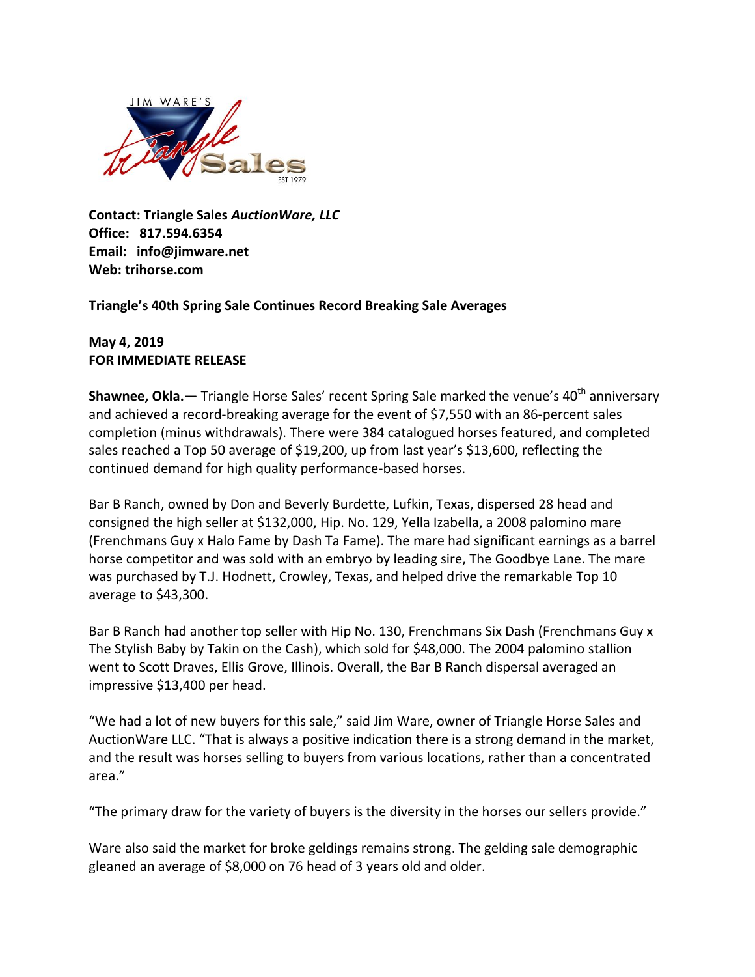

**Contact: Triangle Sales** *AuctionWare, LLC*  **Office: 817.594.6354 Email: info@jimware.net Web: trihorse.com**

**Triangle's 40th Spring Sale Continues Record Breaking Sale Averages** 

**May 4, 2019 FOR IMMEDIATE RELEASE**

**Shawnee, Okla.**— Triangle Horse Sales' recent Spring Sale marked the venue's 40<sup>th</sup> anniversary and achieved a record-breaking average for the event of \$7,550 with an 86-percent sales completion (minus withdrawals). There were 384 catalogued horses featured, and completed sales reached a Top 50 average of \$19,200, up from last year's \$13,600, reflecting the continued demand for high quality performance-based horses.

Bar B Ranch, owned by Don and Beverly Burdette, Lufkin, Texas, dispersed 28 head and consigned the high seller at \$132,000, Hip. No. 129, Yella Izabella, a 2008 palomino mare (Frenchmans Guy x Halo Fame by Dash Ta Fame). The mare had significant earnings as a barrel horse competitor and was sold with an embryo by leading sire, The Goodbye Lane. The mare was purchased by T.J. Hodnett, Crowley, Texas, and helped drive the remarkable Top 10 average to \$43,300.

Bar B Ranch had another top seller with Hip No. 130, Frenchmans Six Dash (Frenchmans Guy x The Stylish Baby by Takin on the Cash), which sold for \$48,000. The 2004 palomino stallion went to Scott Draves, Ellis Grove, Illinois. Overall, the Bar B Ranch dispersal averaged an impressive \$13,400 per head.

"We had a lot of new buyers for this sale," said Jim Ware, owner of Triangle Horse Sales and AuctionWare LLC. "That is always a positive indication there is a strong demand in the market, and the result was horses selling to buyers from various locations, rather than a concentrated area."

"The primary draw for the variety of buyers is the diversity in the horses our sellers provide."

Ware also said the market for broke geldings remains strong. The gelding sale demographic gleaned an average of \$8,000 on 76 head of 3 years old and older.